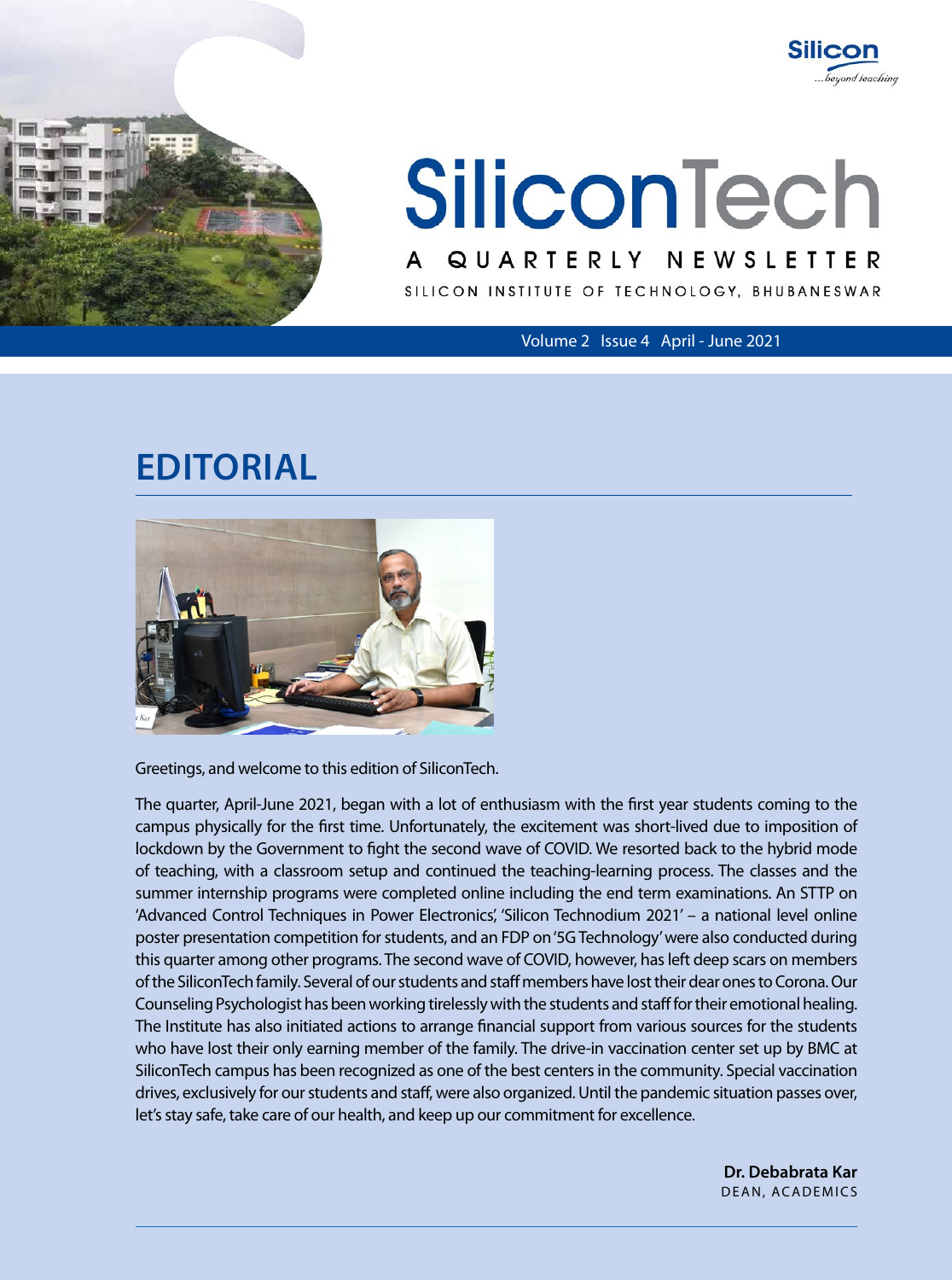



# SILICON INSTITUTE OF TECHNOLOGY, BHUBANESWAR A q ua r te rly n ews l ette r **SiliconTech**

Volume 2 Issue 4 April - June 2021

## **Editorial**



Greetings, and welcome to this edition of SiliconTech.

The quarter, April-June 2021, began with a lot of enthusiasm with the first year students coming to the campus physically for the first time. Unfortunately, the excitement was short-lived due to imposition of lockdown by the Government to fight the second wave of COVID. We resorted back to the hybrid mode of teaching, with a classroom setup and continued the teaching-learning process. The classes and the summer internship programs were completed online including the end term examinations. An STTP on 'Advanced Control Techniques in Power Electronics', 'Silicon Technodium 2021' – a national level online poster presentation competition for students, and an FDP on '5G Technology' were also conducted during this quarter among other programs. The second wave of COVID, however, has left deep scars on members of the SiliconTech family. Several of our students and staff members have lost their dear ones to Corona. Our Counseling Psychologist has been working tirelessly with the students and staff for their emotional healing. The Institute has also initiated actions to arrange financial support from various sources for the students who have lost their only earning member of the family. The drive-in vaccination center set up by BMC at SiliconTech campus has been recognized as one of the best centers in the community. Special vaccination drives, exclusively for our students and staff, were also organized. Until the pandemic situation passes over, let's stay safe, take care of our health, and keep up our commitment for excellence.

> **Dr. Debabrata Kar** Dean, Academics

> > SiliconTech line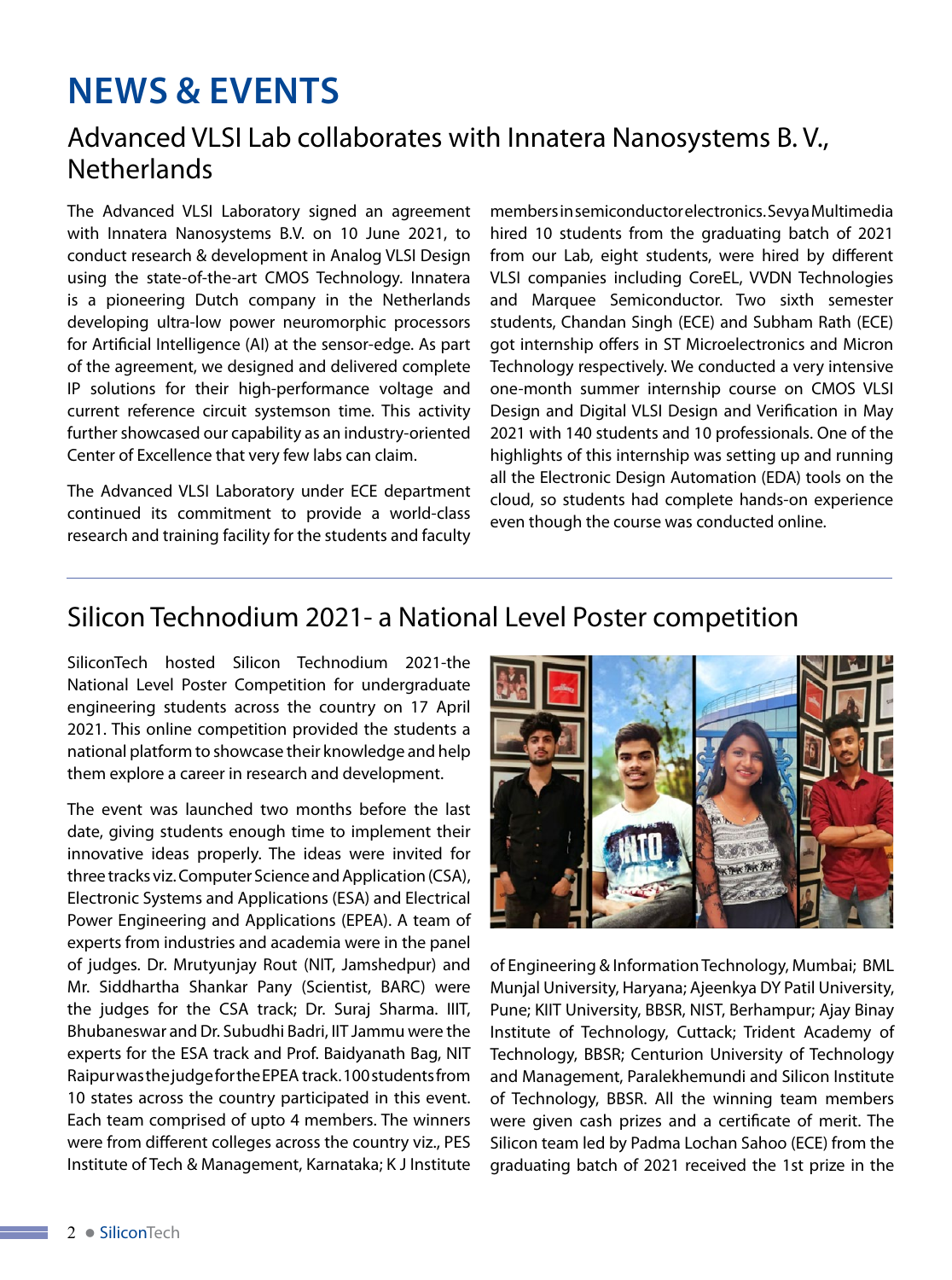## **NEWS & EVENTS**

#### Advanced VLSI Lab collaborates with Innatera Nanosystems B. V., **Netherlands**

The Advanced VLSI Laboratory signed an agreement with Innatera Nanosystems B.V. on 10 June 2021, to conduct research & development in Analog VLSI Design using the state-of-the-art CMOS Technology. Innatera is a pioneering Dutch company in the Netherlands developing ultra-low power neuromorphic processors for Artificial Intelligence (AI) at the sensor-edge. As part of the agreement, we designed and delivered complete IP solutions for their high-performance voltage and current reference circuit systemson time. This activity further showcased our capability as an industry-oriented Center of Excellence that very few labs can claim.

The Advanced VLSI Laboratory under ECE department continued its commitment to provide a world-class research and training facility for the students and faculty

members in semiconductor electronics. Sevya Multimedia hired 10 students from the graduating batch of 2021 from our Lab, eight students, were hired by different VLSI companies including CoreEL, VVDN Technologies and Marquee Semiconductor. Two sixth semester students, Chandan Singh (ECE) and Subham Rath (ECE) got internship offers in ST Microelectronics and Micron Technology respectively. We conducted a very intensive one-month summer internship course on CMOS VLSI Design and Digital VLSI Design and Verification in May 2021 with 140 students and 10 professionals. One of the highlights of this internship was setting up and running all the Electronic Design Automation (EDA) tools on the cloud, so students had complete hands-on experience even though the course was conducted online.

#### Silicon Technodium 2021- a National Level Poster competition

SiliconTech hosted Silicon Technodium 2021-the National Level Poster Competition for undergraduate engineering students across the country on 17 April 2021. This online competition provided the students a national platform to showcase their knowledge and help them explore a career in research and development.

The event was launched two months before the last date, giving students enough time to implement their innovative ideas properly. The ideas were invited for three tracks viz. Computer Science and Application (CSA), Electronic Systems and Applications (ESA) and Electrical Power Engineering and Applications (EPEA). A team of experts from industries and academia were in the panel of judges. Dr. Mrutyunjay Rout (NIT, Jamshedpur) and Mr. Siddhartha Shankar Pany (Scientist, BARC) were the judges for the CSA track; Dr. Suraj Sharma. IIIT, Bhubaneswar and Dr. Subudhi Badri, IIT Jammu were the experts for the ESA track and Prof. Baidyanath Bag, NIT Raipur was the judge for the EPEA track. 100 students from 10 states across the country participated in this event. Each team comprised of upto 4 members. The winners were from different colleges across the country viz., PES Institute of Tech & Management, Karnataka; K J Institute



of Engineering & Information Technology, Mumbai; BML Munjal University, Haryana; Ajeenkya DY Patil University, Pune; KIIT University, BBSR, NIST, Berhampur; Ajay Binay Institute of Technology, Cuttack; Trident Academy of Technology, BBSR; Centurion University of Technology and Management, Paralekhemundi and Silicon Institute of Technology, BBSR. All the winning team members were given cash prizes and a certificate of merit. The Silicon team led by Padma Lochan Sahoo (ECE) from the graduating batch of 2021 received the 1st prize in the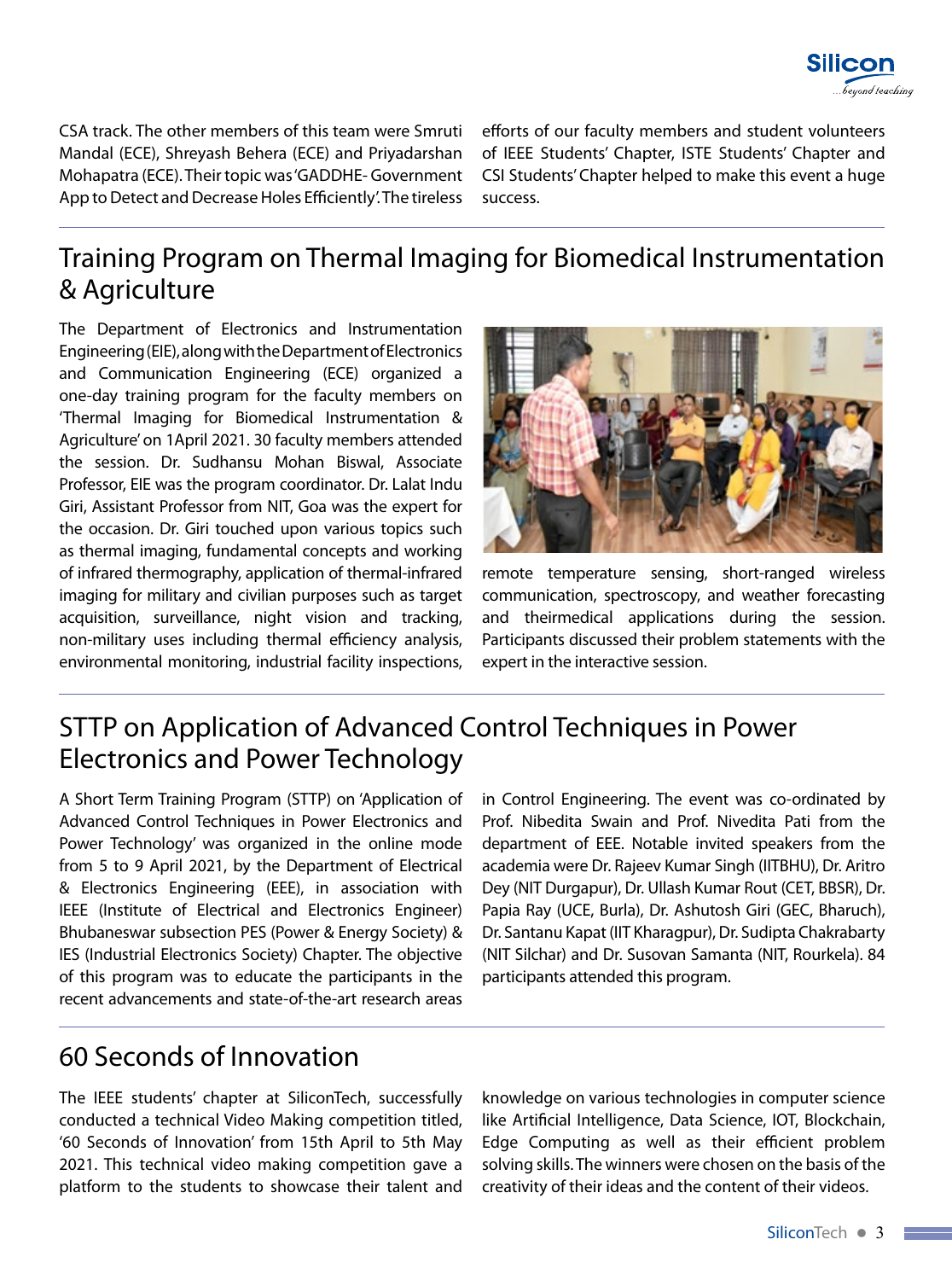

CSA track. The other members of this team were Smruti Mandal (ECE), Shreyash Behera (ECE) and Priyadarshan Mohapatra (ECE). Their topic was 'GADDHE- Government App to Detect and Decrease Holes Efficiently'. The tireless

efforts of our faculty members and student volunteers of IEEE Students' Chapter, ISTE Students' Chapter and CSI Students' Chapter helped to make this event a huge success.

### Training Program on Thermal Imaging for Biomedical Instrumentation & Agriculture

The Department of Electronics and Instrumentation Engineering (EIE), along with the Department of Electronics and Communication Engineering (ECE) organized a one-day training program for the faculty members on 'Thermal Imaging for Biomedical Instrumentation & Agriculture' on 1April 2021. 30 faculty members attended the session. Dr. Sudhansu Mohan Biswal, Associate Professor, EIE was the program coordinator. Dr. Lalat Indu Giri, Assistant Professor from NIT, Goa was the expert for the occasion. Dr. Giri touched upon various topics such as thermal imaging, fundamental concepts and working of infrared thermography, application of thermal-infrared imaging for military and civilian purposes such as target acquisition, surveillance, night vision and tracking, non-military uses including thermal efficiency analysis, environmental monitoring, industrial facility inspections,



remote temperature sensing, short-ranged wireless communication, spectroscopy, and weather forecasting and theirmedical applications during the session. Participants discussed their problem statements with the expert in the interactive session.

### STTP on Application of Advanced Control Techniques in Power Electronics and Power Technology

A Short Term Training Program (STTP) on 'Application of Advanced Control Techniques in Power Electronics and Power Technology' was organized in the online mode from 5 to 9 April 2021, by the Department of Electrical & Electronics Engineering (EEE), in association with IEEE (Institute of Electrical and Electronics Engineer) Bhubaneswar subsection PES (Power & Energy Society) & IES (Industrial Electronics Society) Chapter. The objective of this program was to educate the participants in the recent advancements and state-of-the-art research areas

in Control Engineering. The event was co-ordinated by Prof. Nibedita Swain and Prof. Nivedita Pati from the department of EEE. Notable invited speakers from the academia were Dr. Rajeev Kumar Singh (IITBHU), Dr. Aritro Dey (NIT Durgapur), Dr. Ullash Kumar Rout (CET, BBSR), Dr. Papia Ray (UCE, Burla), Dr. Ashutosh Giri (GEC, Bharuch), Dr. Santanu Kapat (IIT Kharagpur), Dr. Sudipta Chakrabarty (NIT Silchar) and Dr. Susovan Samanta (NIT, Rourkela). 84 participants attended this program.

#### 60 Seconds of Innovation

The IEEE students' chapter at SiliconTech, successfully conducted a technical Video Making competition titled, '60 Seconds of Innovation' from 15th April to 5th May 2021. This technical video making competition gave a platform to the students to showcase their talent and

knowledge on various technologies in computer science like Artificial Intelligence, Data Science, IOT, Blockchain, Edge Computing as well as their efficient problem solving skills. The winners were chosen on the basis of the creativity of their ideas and the content of their videos.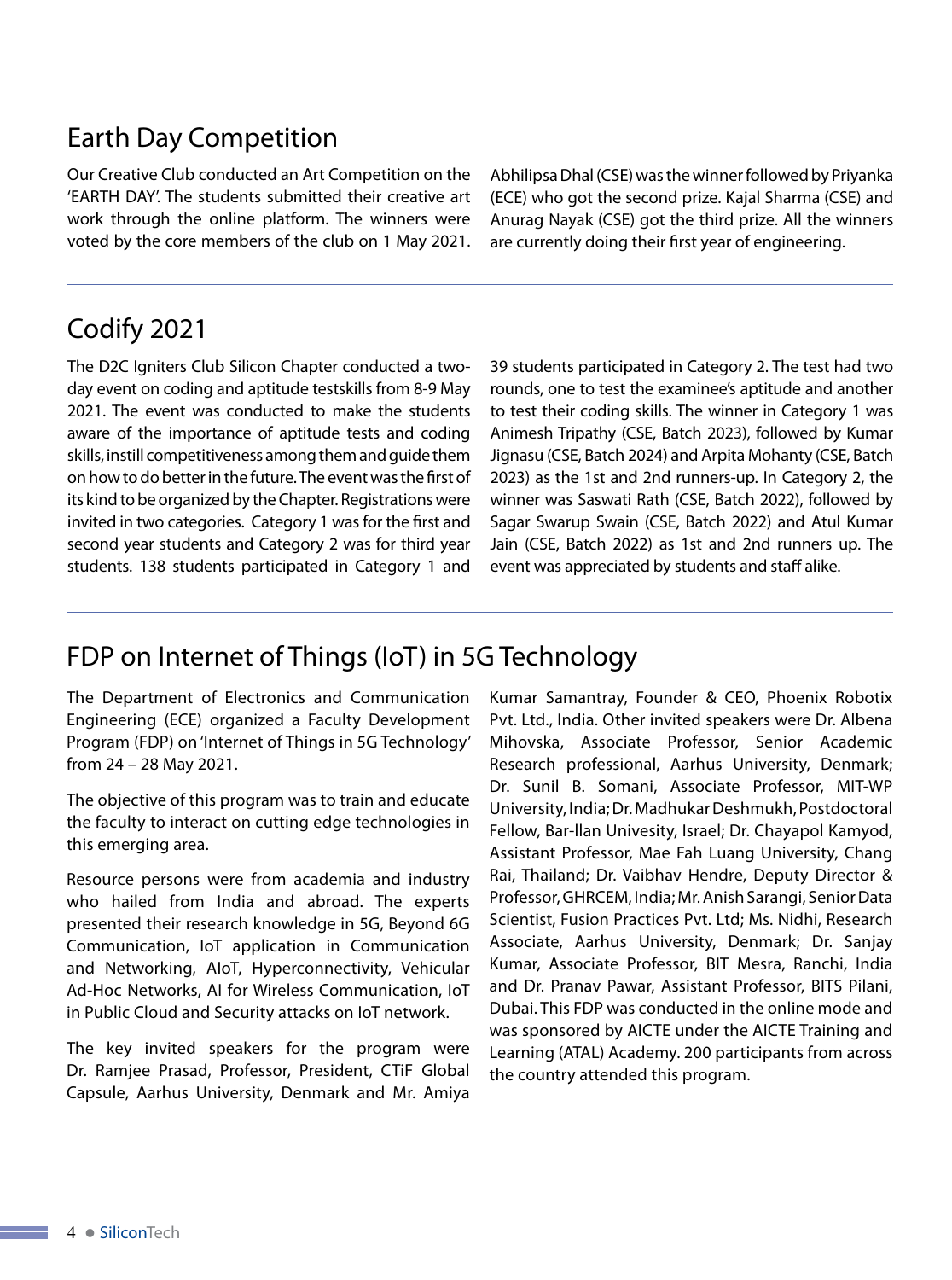#### Earth Day Competition

Our Creative Club conducted an Art Competition on the 'EARTH DAY'. The students submitted their creative art work through the online platform. The winners were voted by the core members of the club on 1 May 2021.

Abhilipsa Dhal (CSE) was the winner followed by Priyanka (ECE) who got the second prize. Kajal Sharma (CSE) and Anurag Nayak (CSE) got the third prize. All the winners are currently doing their first year of engineering.

### Codify 2021

The D2C Igniters Club Silicon Chapter conducted a twoday event on coding and aptitude testskills from 8-9 May 2021. The event was conducted to make the students aware of the importance of aptitude tests and coding skills, instill competitiveness among them and guide them on how to do better in the future. The event was the first of its kind to be organized by the Chapter. Registrations were invited in two categories. Category 1 was for the first and second year students and Category 2 was for third year students. 138 students participated in Category 1 and

39 students participated in Category 2. The test had two rounds, one to test the examinee's aptitude and another to test their coding skills. The winner in Category 1 was Animesh Tripathy (CSE, Batch 2023), followed by Kumar Jignasu (CSE, Batch 2024) and Arpita Mohanty (CSE, Batch 2023) as the 1st and 2nd runners-up. In Category 2, the winner was Saswati Rath (CSE, Batch 2022), followed by Sagar Swarup Swain (CSE, Batch 2022) and Atul Kumar Jain (CSE, Batch 2022) as 1st and 2nd runners up. The event was appreciated by students and staff alike.

### FDP on Internet of Things (IoT) in 5G Technology

The Department of Electronics and Communication Engineering (ECE) organized a Faculty Development Program (FDP) on 'Internet of Things in 5G Technology' from 24 – 28 May 2021.

The objective of this program was to train and educate the faculty to interact on cutting edge technologies in this emerging area.

Resource persons were from academia and industry who hailed from India and abroad. The experts presented their research knowledge in 5G, Beyond 6G Communication, IoT application in Communication and Networking, AIoT, Hyperconnectivity, Vehicular Ad-Hoc Networks, AI for Wireless Communication, IoT in Public Cloud and Security attacks on IoT network.

The key invited speakers for the program were Dr. Ramjee Prasad, Professor, President, CTiF Global Capsule, Aarhus University, Denmark and Mr. Amiya Kumar Samantray, Founder & CEO, Phoenix Robotix Pvt. Ltd., India. Other invited speakers were Dr. Albena Mihovska, Associate Professor, Senior Academic Research professional, Aarhus University, Denmark; Dr. Sunil B. Somani, Associate Professor, MIT-WP University, India; Dr. Madhukar Deshmukh, Postdoctoral Fellow, Bar-llan Univesity, Israel; Dr. Chayapol Kamyod, Assistant Professor, Mae Fah Luang University, Chang Rai, Thailand; Dr. Vaibhav Hendre, Deputy Director & Professor, GHRCEM, India; Mr. Anish Sarangi, Senior Data Scientist, Fusion Practices Pvt. Ltd; Ms. Nidhi, Research Associate, Aarhus University, Denmark; Dr. Sanjay Kumar, Associate Professor, BIT Mesra, Ranchi, India and Dr. Pranav Pawar, Assistant Professor, BITS Pilani, Dubai. This FDP was conducted in the online mode and was sponsored by AICTE under the AICTE Training and Learning (ATAL) Academy. 200 participants from across the country attended this program.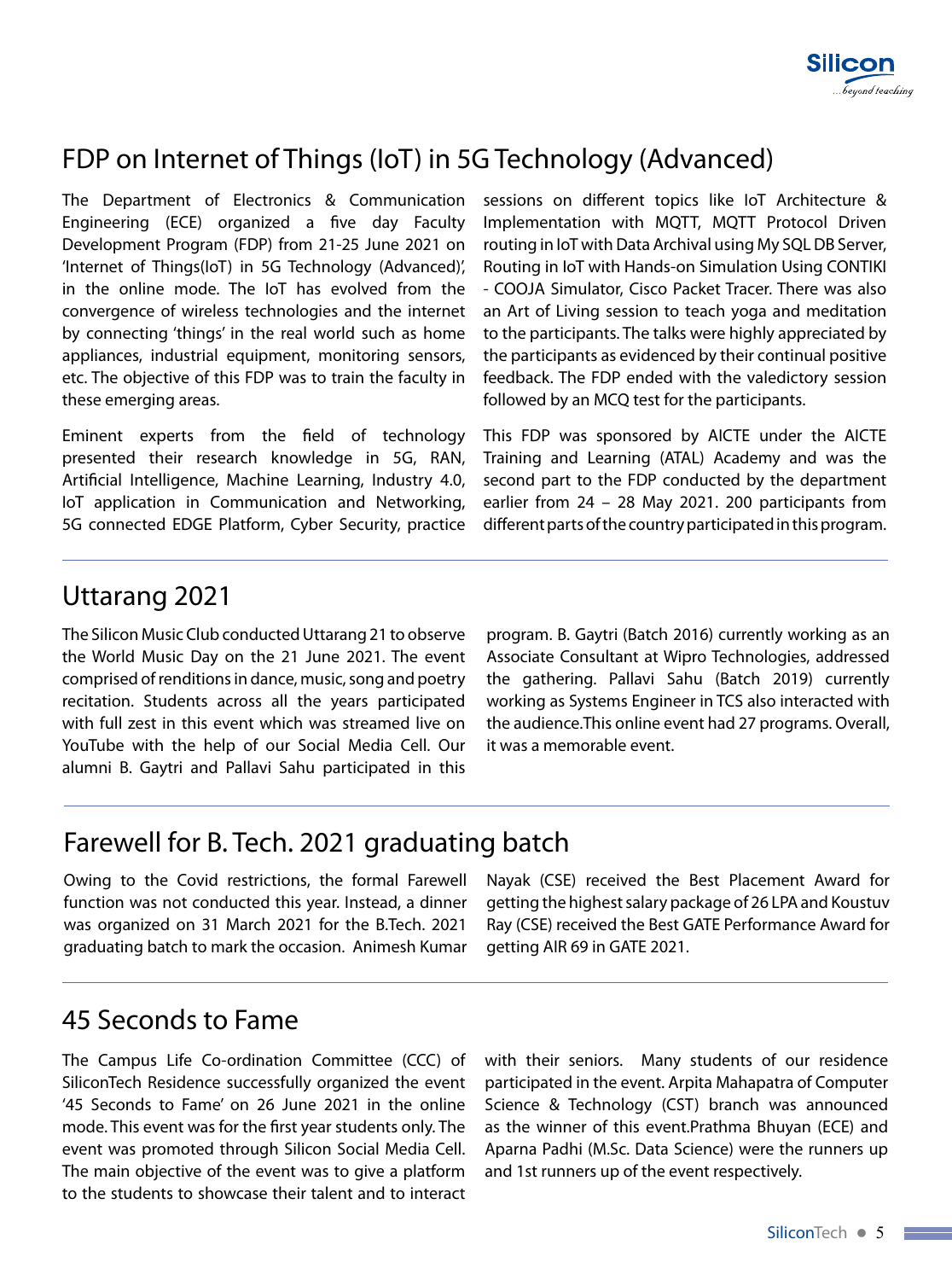

### FDP on Internet of Things (IoT) in 5G Technology (Advanced)

The Department of Electronics & Communication Engineering (ECE) organized a five day Faculty Development Program (FDP) from 21-25 June 2021 on 'Internet of Things(IoT) in 5G Technology (Advanced)', in the online mode. The IoT has evolved from the convergence of wireless technologies and the internet by connecting 'things' in the real world such as home appliances, industrial equipment, monitoring sensors, etc. The objective of this FDP was to train the faculty in these emerging areas.

Eminent experts from the field of technology presented their research knowledge in 5G, RAN, Artificial Intelligence, Machine Learning, Industry 4.0, IoT application in Communication and Networking, 5G connected EDGE Platform, Cyber Security, practice sessions on different topics like IoT Architecture & Implementation with MQTT, MQTT Protocol Driven routing in IoT with Data Archival using My SQL DB Server, Routing in IoT with Hands-on Simulation Using CONTIKI - COOJA Simulator, Cisco Packet Tracer. There was also an Art of Living session to teach yoga and meditation to the participants. The talks were highly appreciated by the participants as evidenced by their continual positive feedback. The FDP ended with the valedictory session followed by an MCQ test for the participants.

This FDP was sponsored by AICTE under the AICTE Training and Learning (ATAL) Academy and was the second part to the FDP conducted by the department earlier from 24 – 28 May 2021. 200 participants from different parts of the country participated in this program.

#### Uttarang 2021

The Silicon Music Club conducted Uttarang 21 to observe the World Music Day on the 21 June 2021. The event comprised of renditions in dance, music, song and poetry recitation. Students across all the years participated with full zest in this event which was streamed live on YouTube with the help of our Social Media Cell. Our alumni B. Gaytri and Pallavi Sahu participated in this

program. B. Gaytri (Batch 2016) currently working as an Associate Consultant at Wipro Technologies, addressed the gathering. Pallavi Sahu (Batch 2019) currently working as Systems Engineer in TCS also interacted with the audience.This online event had 27 programs. Overall, it was a memorable event.

#### Farewell for B. Tech. 2021 graduating batch

Owing to the Covid restrictions, the formal Farewell function was not conducted this year. Instead, a dinner was organized on 31 March 2021 for the B.Tech. 2021 graduating batch to mark the occasion. Animesh Kumar Nayak (CSE) received the Best Placement Award for getting the highest salary package of 26 LPA and Koustuv Ray (CSE) received the Best GATE Performance Award for getting AIR 69 in GATE 2021.

#### 45 Seconds to Fame

The Campus Life Co-ordination Committee (CCC) of SiliconTech Residence successfully organized the event '45 Seconds to Fame' on 26 June 2021 in the online mode. This event was for the first year students only. The event was promoted through Silicon Social Media Cell. The main objective of the event was to give a platform to the students to showcase their talent and to interact

with their seniors. Many students of our residence participated in the event. Arpita Mahapatra of Computer Science & Technology (CST) branch was announced as the winner of this event.Prathma Bhuyan (ECE) and Aparna Padhi (M.Sc. Data Science) were the runners up and 1st runners up of the event respectively.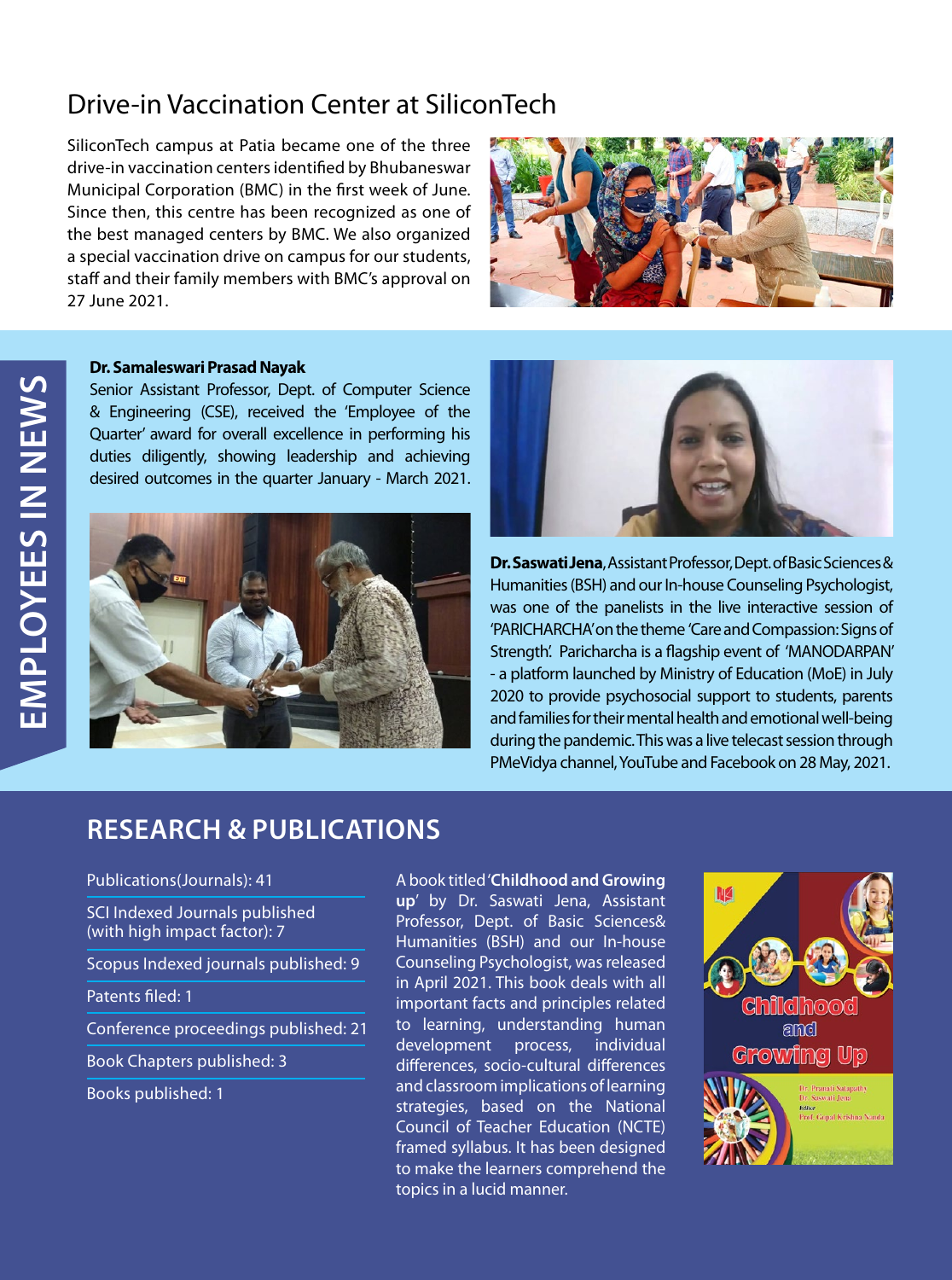### Drive-in Vaccination Center at SiliconTech

SiliconTech campus at Patia became one of the three drive-in vaccination centers identified by Bhubaneswar Municipal Corporation (BMC) in the first week of June. Since then, this centre has been recognized as one of the best managed centers by BMC. We also organized a special vaccination drive on campus for our students, staff and their family members with BMC's approval on 27 June 2021.



#### **Dr. Samaleswari Prasad Nayak**

Senior Assistant Professor, Dept. of Computer Science & Engineering (CSE), received the 'Employee of the Quarter' award for overall excellence in performing his duties diligently, showing leadership and achieving desired outcomes in the quarter January - March 2021.





**Dr. Saswati Jena**, Assistant Professor, Dept. of Basic Sciences & Humanities (BSH) and our In-house Counseling Psychologist, was one of the panelists in the live interactive session of 'PARICHARCHA' on the theme 'Care and Compassion: Signs of Strength'. Paricharcha is a flagship event of 'MANODARPAN' - a platform launched by Ministry of Education (MoE) in July 2020 to provide psychosocial support to students, parents and families for their mental health and emotional well-being during the pandemic. This was a live telecast session through PMeVidya channel, YouTube and Facebook on 28 May, 2021.

#### **RESEARCH & PUBLICATIONS**

#### Publications(Journals): 41

SCI Indexed Journals published (with high impact factor): 7

Scopus Indexed journals published: 9

Patents filed: 1

Conference proceedings published: 21

Book Chapters published: 3

Books published: 1

A book titled '**Childhood and Growing up**' by Dr. Saswati Jena, Assistant Professor, Dept. of Basic Sciences& Humanities (BSH) and our In-house Counseling Psychologist, was released in April 2021. This book deals with all important facts and principles related to learning, understanding human development process, individual differences, socio-cultural differences and classroom implications of learning strategies, based on the National Council of Teacher Education (NCTE) framed syllabus. It has been designed to make the learners comprehend the topics in a lucid manner.

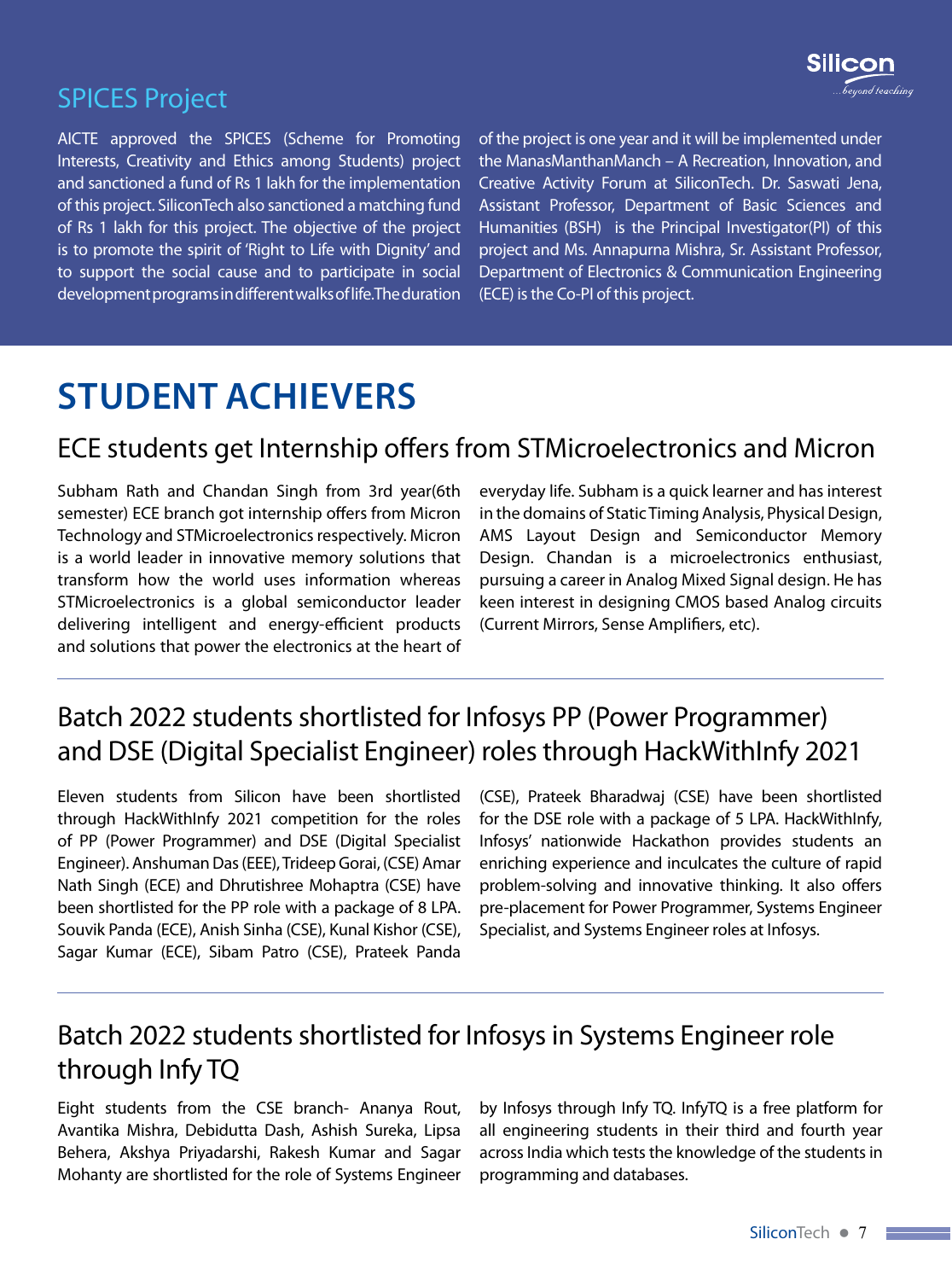

### SPICES Project

AICTE approved the SPICES (Scheme for Promoting Interests, Creativity and Ethics among Students) project and sanctioned a fund of Rs 1 lakh for the implementation of this project. SiliconTech also sanctioned a matching fund of Rs 1 lakh for this project. The objective of the project is to promote the spirit of 'Right to Life with Dignity' and to support the social cause and to participate in social development programs in different walks of life.The duration

of the project is one year and it will be implemented under the ManasManthanManch – A Recreation, Innovation, and Creative Activity Forum at SiliconTech. Dr. Saswati Jena, Assistant Professor, Department of Basic Sciences and Humanities (BSH) is the Principal Investigator(PI) of this project and Ms. Annapurna Mishra, Sr. Assistant Professor, Department of Electronics & Communication Engineering (ECE) is the Co-PI of this project.

## **STUDENT ACHIEVERS**

#### ECE students get Internship offers from STMicroelectronics and Micron

Subham Rath and Chandan Singh from 3rd year(6th semester) ECE branch got internship offers from Micron Technology and STMicroelectronics respectively. Micron is a world leader in innovative memory solutions that transform how the world uses information whereas STMicroelectronics is a global semiconductor leader delivering intelligent and energy-efficient products and solutions that power the electronics at the heart of

everyday life. Subham is a quick learner and has interest in the domains of Static Timing Analysis, Physical Design, AMS Layout Design and Semiconductor Memory Design. Chandan is a microelectronics enthusiast, pursuing a career in Analog Mixed Signal design. He has keen interest in designing CMOS based Analog circuits (Current Mirrors, Sense Amplifiers, etc).

### Batch 2022 students shortlisted for Infosys PP (Power Programmer) and DSE (Digital Specialist Engineer) roles through HackWithInfy 2021

Eleven students from Silicon have been shortlisted through HackWithInfy 2021 competition for the roles of PP (Power Programmer) and DSE (Digital Specialist Engineer). Anshuman Das (EEE), Trideep Gorai, (CSE) Amar Nath Singh (ECE) and Dhrutishree Mohaptra (CSE) have been shortlisted for the PP role with a package of 8 LPA. Souvik Panda (ECE), Anish Sinha (CSE), Kunal Kishor (CSE), Sagar Kumar (ECE), Sibam Patro (CSE), Prateek Panda

(CSE), Prateek Bharadwaj (CSE) have been shortlisted for the DSE role with a package of 5 LPA. HackWithInfy, Infosys' nationwide Hackathon provides students an enriching experience and inculcates the culture of rapid problem-solving and innovative thinking. It also offers pre-placement for Power Programmer, Systems Engineer Specialist, and Systems Engineer roles at Infosys.

### Batch 2022 students shortlisted for Infosys in Systems Engineer role through Infy TQ

Eight students from the CSE branch- Ananya Rout, Avantika Mishra, Debidutta Dash, Ashish Sureka, Lipsa Behera, Akshya Priyadarshi, Rakesh Kumar and Sagar Mohanty are shortlisted for the role of Systems Engineer

by Infosys through Infy TQ. InfyTQ is a free platform for all engineering students in their third and fourth year across India which tests the knowledge of the students in programming and databases.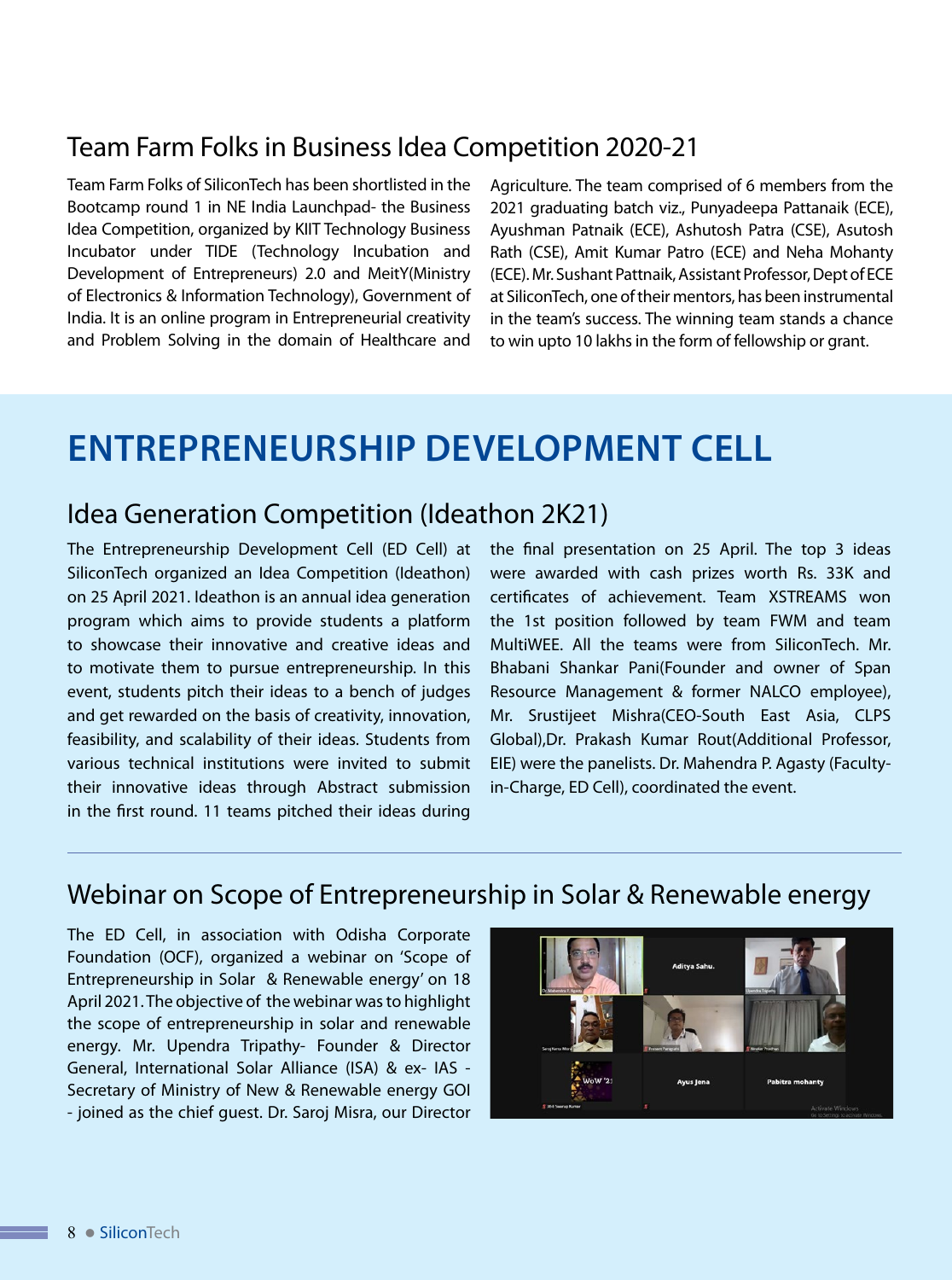#### Team Farm Folks in Business Idea Competition 2020-21

Team Farm Folks of SiliconTech has been shortlisted in the Bootcamp round 1 in NE India Launchpad- the Business Idea Competition, organized by KIIT Technology Business Incubator under TIDE (Technology Incubation and Development of Entrepreneurs) 2.0 and MeitY(Ministry of Electronics & Information Technology), Government of India. It is an online program in Entrepreneurial creativity and Problem Solving in the domain of Healthcare and

Agriculture. The team comprised of 6 members from the 2021 graduating batch viz., Punyadeepa Pattanaik (ECE), Ayushman Patnaik (ECE), Ashutosh Patra (CSE), Asutosh Rath (CSE), Amit Kumar Patro (ECE) and Neha Mohanty (ECE). Mr. Sushant Pattnaik, Assistant Professor, Dept of ECE at SiliconTech, one of their mentors, has been instrumental in the team's success. The winning team stands a chance to win upto 10 lakhs in the form of fellowship or grant.

## **ENTREPRENEURSHIP DEVELOPMENT CELL**

#### Idea Generation Competition (Ideathon 2K21)

The Entrepreneurship Development Cell (ED Cell) at SiliconTech organized an Idea Competition (Ideathon) on 25 April 2021. Ideathon is an annual idea generation program which aims to provide students a platform to showcase their innovative and creative ideas and to motivate them to pursue entrepreneurship. In this event, students pitch their ideas to a bench of judges and get rewarded on the basis of creativity, innovation, feasibility, and scalability of their ideas. Students from various technical institutions were invited to submit their innovative ideas through Abstract submission in the first round. 11 teams pitched their ideas during

the final presentation on 25 April. The top 3 ideas were awarded with cash prizes worth Rs. 33K and certificates of achievement. Team XSTREAMS won the 1st position followed by team FWM and team MultiWEE. All the teams were from SiliconTech. Mr. Bhabani Shankar Pani(Founder and owner of Span Resource Management & former NALCO employee), Mr. Srustijeet Mishra(CEO-South East Asia, CLPS Global),Dr. Prakash Kumar Rout(Additional Professor, EIE) were the panelists. Dr. Mahendra P. Agasty (Facultyin-Charge, ED Cell), coordinated the event.

#### Webinar on Scope of Entrepreneurship in Solar & Renewable energy

The ED Cell, in association with Odisha Corporate Foundation (OCF), organized a webinar on 'Scope of Entrepreneurship in Solar & Renewable energy' on 18 April 2021. The objective of the webinar was to highlight the scope of entrepreneurship in solar and renewable energy. Mr. Upendra Tripathy- Founder & Director General, International Solar Alliance (ISA) & ex- IAS - Secretary of Ministry of New & Renewable energy GOI - joined as the chief guest. Dr. Saroj Misra, our Director

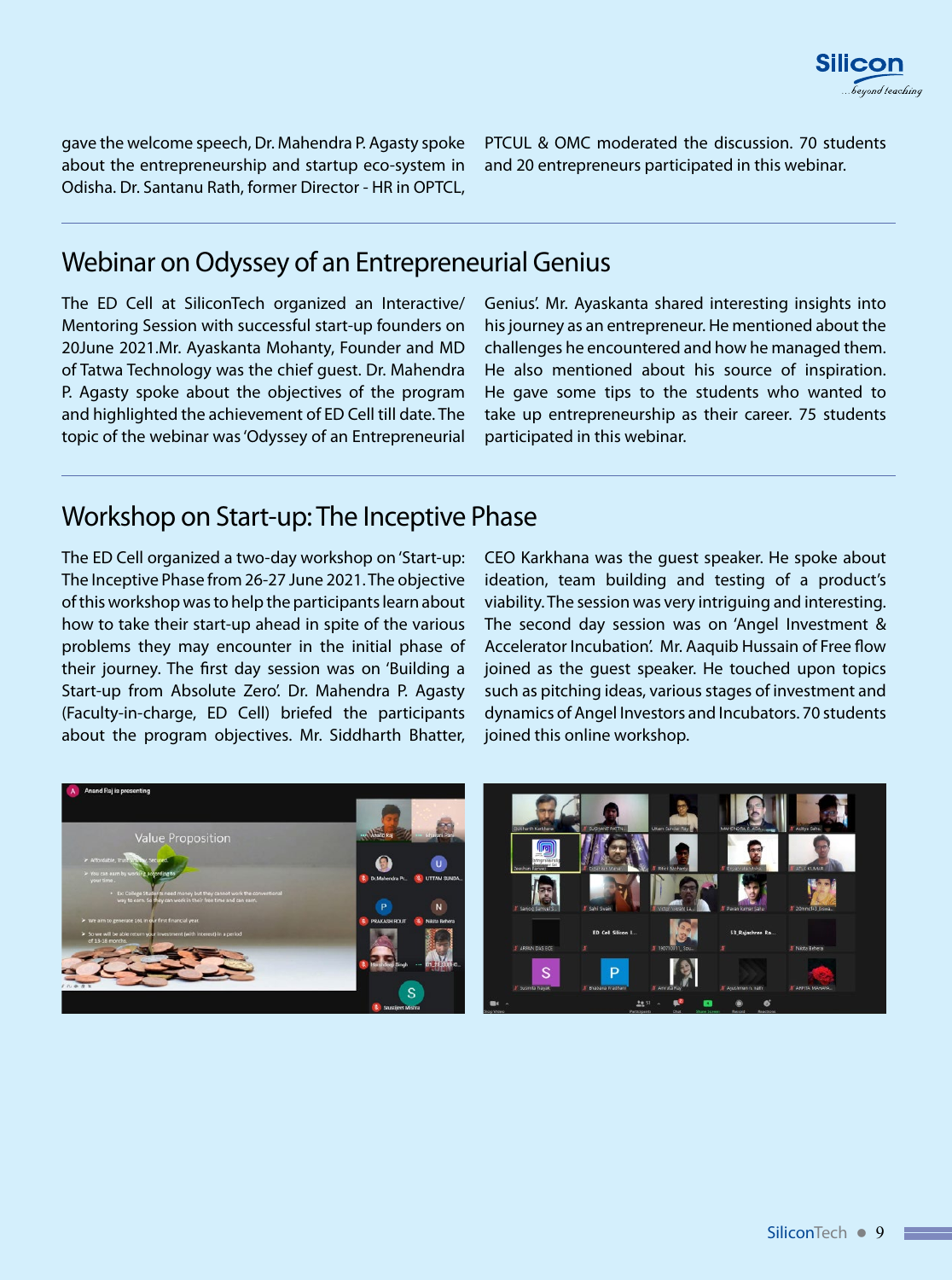

gave the welcome speech, Dr. Mahendra P. Agasty spoke about the entrepreneurship and startup eco-system in Odisha. Dr. Santanu Rath, former Director - HR in OPTCL,

PTCUL & OMC moderated the discussion. 70 students and 20 entrepreneurs participated in this webinar.

#### Webinar on Odyssey of an Entrepreneurial Genius

The ED Cell at SiliconTech organized an Interactive/ Mentoring Session with successful start-up founders on 20June 2021.Mr. Ayaskanta Mohanty, Founder and MD of Tatwa Technology was the chief guest. Dr. Mahendra P. Agasty spoke about the objectives of the program and highlighted the achievement of ED Cell till date. The topic of the webinar was 'Odyssey of an Entrepreneurial

Genius'. Mr. Ayaskanta shared interesting insights into his journey as an entrepreneur. He mentioned about the challenges he encountered and how he managed them. He also mentioned about his source of inspiration. He gave some tips to the students who wanted to take up entrepreneurship as their career. 75 students participated in this webinar.

#### Workshop on Start-up: The Inceptive Phase

The ED Cell organized a two-day workshop on 'Start-up: The Inceptive Phase from 26-27 June 2021. The objective of this workshop was to help the participants learn about how to take their start-up ahead in spite of the various problems they may encounter in the initial phase of their journey. The first day session was on 'Building a Start-up from Absolute Zero'. Dr. Mahendra P. Agasty (Faculty-in-charge, ED Cell) briefed the participants about the program objectives. Mr. Siddharth Bhatter, CEO Karkhana was the guest speaker. He spoke about ideation, team building and testing of a product's viability. The session was very intriguing and interesting. The second day session was on 'Angel Investment & Accelerator Incubation'. Mr. Aaquib Hussain of Free flow joined as the guest speaker. He touched upon topics such as pitching ideas, various stages of investment and dynamics of Angel Investors and Incubators. 70 students joined this online workshop.



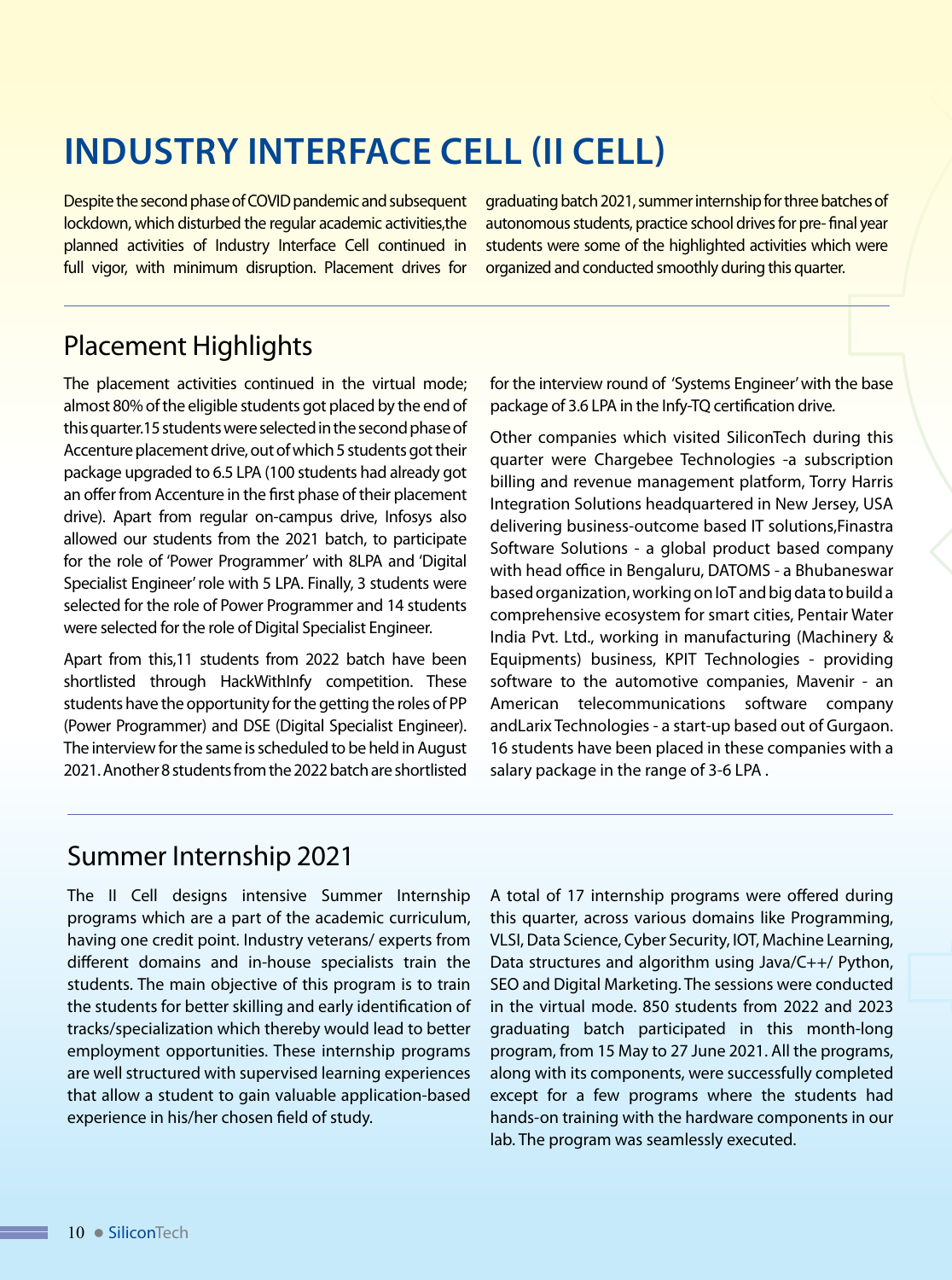## **INDUSTRY INTERFACE CELL (II Cell)**

Despite the second phase of COVID pandemic and subsequent lockdown, which disturbed the regular academic activities,the planned activities of Industry Interface Cell continued in full vigor, with minimum disruption. Placement drives for graduating batch 2021, summer internship for three batches of autonomous students, practice school drives for pre- final year students were some of the highlighted activities which were organized and conducted smoothly during this quarter.

### Placement Highlights

The placement activities continued in the virtual mode; almost 80% of the eligible students got placed by the end of this quarter.15 students were selected in the second phase of Accenture placement drive, out of which 5 students got their package upgraded to 6.5 LPA (100 students had already got an offer from Accenture in the first phase of their placement drive). Apart from regular on-campus drive, Infosys also allowed our students from the 2021 batch, to participate for the role of 'Power Programmer' with 8LPA and 'Digital Specialist Engineer' role with 5 LPA. Finally, 3 students were selected for the role of Power Programmer and 14 students were selected for the role of Digital Specialist Engineer.

Apart from this,11 students from 2022 batch have been shortlisted through HackWithInfy competition. These students have the opportunity for the getting the roles of PP (Power Programmer) and DSE (Digital Specialist Engineer). The interview for the same is scheduled to be held in August 2021. Another 8 students from the 2022 batch are shortlisted for the interview round of 'Systems Engineer' with the base package of 3.6 LPA in the Infy-TQ certification drive.

Other companies which visited SiliconTech during this quarter were Chargebee Technologies -a subscription billing and revenue management platform, Torry Harris Integration Solutions headquartered in New Jersey, USA delivering business-outcome based IT solutions,Finastra Software Solutions - a global product based company with head office in Bengaluru, DATOMS - a Bhubaneswar based organization, working on IoT and big data to build a comprehensive ecosystem for smart cities, Pentair Water India Pvt. Ltd., working in manufacturing (Machinery & Equipments) business, KPIT Technologies - providing software to the automotive companies, Mavenir - an American telecommunications software company andLarix Technologies - a start-up based out of Gurgaon. 16 students have been placed in these companies with a salary package in the range of 3-6 LPA .

#### Summer Internship 2021

The II Cell designs intensive Summer Internship programs which are a part of the academic curriculum, having one credit point. Industry veterans/ experts from different domains and in-house specialists train the students. The main objective of this program is to train the students for better skilling and early identification of tracks/specialization which thereby would lead to better employment opportunities. These internship programs are well structured with supervised learning experiences that allow a student to gain valuable application-based experience in his/her chosen field of study.

A total of 17 internship programs were offered during this quarter, across various domains like Programming, VLSI, Data Science, Cyber Security, IOT, Machine Learning, Data structures and algorithm using Java/C++/ Python, SEO and Digital Marketing. The sessions were conducted in the virtual mode. 850 students from 2022 and 2023 graduating batch participated in this month-long program, from 15 May to 27 June 2021. All the programs, along with its components, were successfully completed except for a few programs where the students had hands-on training with the hardware components in our lab. The program was seamlessly executed.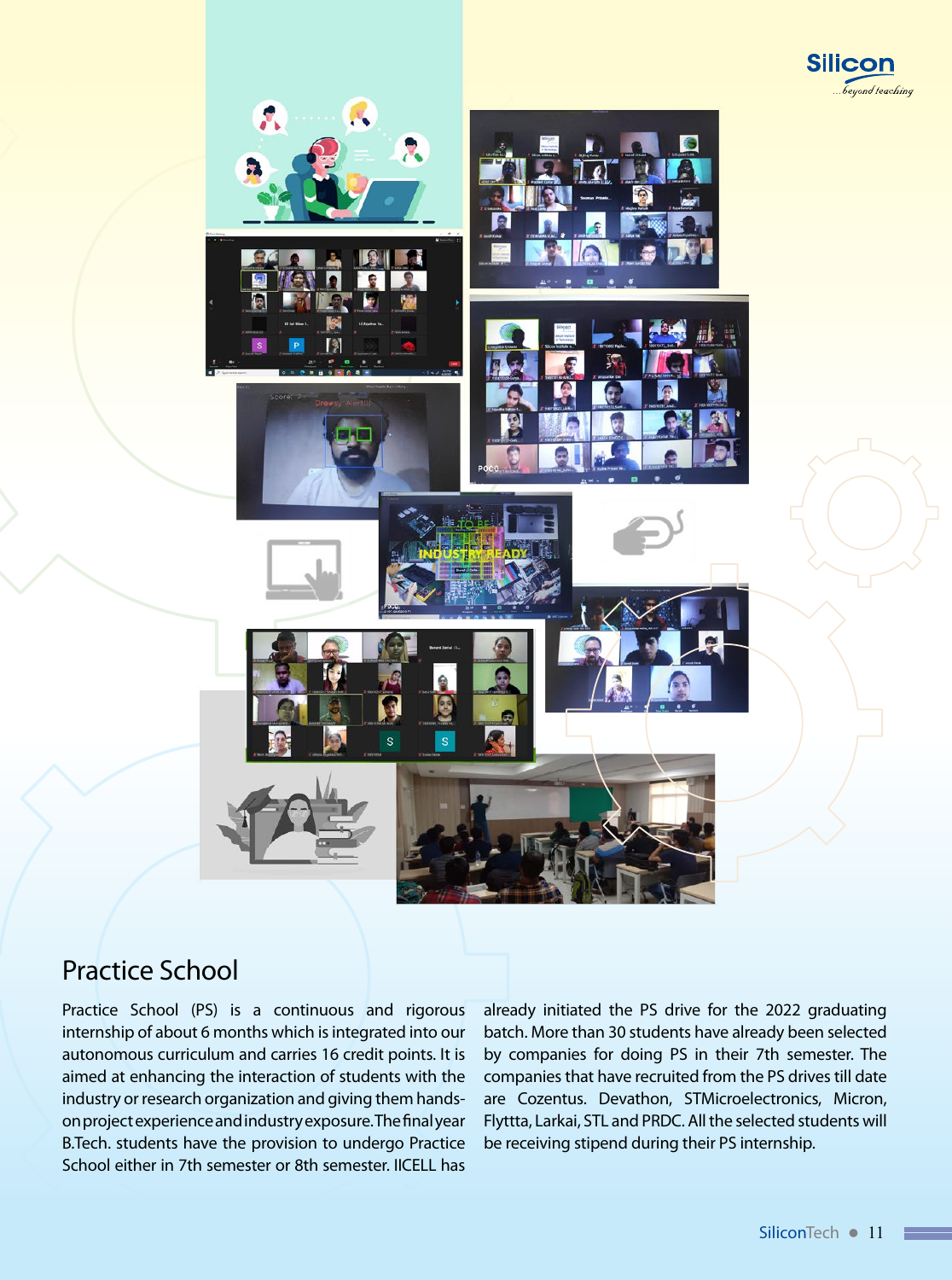



### Practice School

Practice School (PS) is a continuous and rigorous internship of about 6 months which is integrated into our autonomous curriculum and carries 16 credit points. It is aimed at enhancing the interaction of students with the industry or research organization and giving them handson project experience and industry exposure. The final year B.Tech. students have the provision to undergo Practice School either in 7th semester or 8th semester. IICELL has

already initiated the PS drive for the 2022 graduating batch. More than 30 students have already been selected by companies for doing PS in their 7th semester. The companies that have recruited from the PS drives till date are Cozentus. Devathon, STMicroelectronics, Micron, Flyttta, Larkai, STL and PRDC. All the selected students will be receiving stipend during their PS internship.